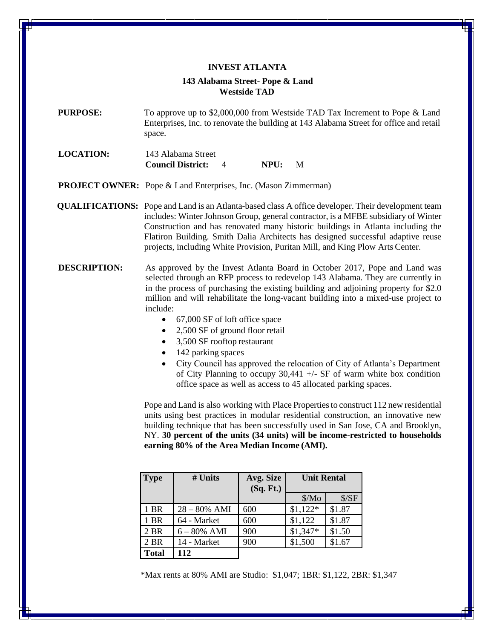## **INVEST ATLANTA 143 Alabama Street- Pope & Land Westside TAD**

**PURPOSE:** To approve up to \$2,000,000 from Westside TAD Tax Increment to Pope & Land Enterprises, Inc. to renovate the building at 143 Alabama Street for office and retail space.

**LOCATION:** 143 Alabama Street **Council District:** 4 **NPU:** M

**PROJECT OWNER:** Pope & Land Enterprises, Inc. (Mason Zimmerman)

**QUALIFICATIONS:** Pope and Land is an Atlanta-based class A office developer. Their development team includes: Winter Johnson Group, general contractor, is a MFBE subsidiary of Winter Construction and has renovated many historic buildings in Atlanta including the Flatiron Building. Smith Dalia Architects has designed successful adaptive reuse projects, including White Provision, Puritan Mill, and King Plow Arts Center.

- **DESCRIPTION:** As approved by the Invest Atlanta Board in October 2017, Pope and Land was selected through an RFP process to redevelop 143 Alabama. They are currently in in the process of purchasing the existing building and adjoining property for \$2.0 million and will rehabilitate the long-vacant building into a mixed-use project to include:
	- 67,000 SF of loft office space
	- 2,500 SF of ground floor retail
	- 3,500 SF rooftop restaurant
	- 142 parking spaces
	- City Council has approved the relocation of City of Atlanta's Department of City Planning to occupy  $30,441 +$  - SF of warm white box condition office space as well as access to 45 allocated parking spaces.

Pope and Land is also working with Place Properties to construct 112 new residential units using best practices in modular residential construction, an innovative new building technique that has been successfully used in San Jose, CA and Brooklyn, NY. **30 percent of the units (34 units) will be income-restricted to households earning 80% of the Area Median Income (AMI).**

| <b>Type</b>  | # Units         | Avg. Size | <b>Unit Rental</b> |        |
|--------------|-----------------|-----------|--------------------|--------|
|              |                 | (Sq. Ft.) |                    |        |
|              |                 |           | Mo                 | \$/SF  |
| 1 BR         | $28 - 80\%$ AMI | 600       | $$1,122*$          | \$1.87 |
| 1 BR         | 64 - Market     | 600       | \$1,122            | \$1.87 |
| 2 BR         | $6 - 80\%$ AMI  | 900       | $$1,347*$          | \$1.50 |
| 2 BR         | 14 - Market     | 900       | \$1,500            | \$1.67 |
| <b>Total</b> | 112             |           |                    |        |

\*Max rents at 80% AMI are Studio: \$1,047; 1BR: \$1,122, 2BR: \$1,347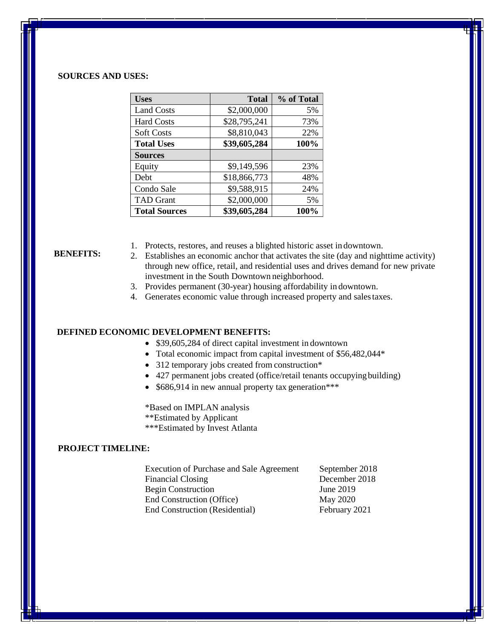### **SOURCES AND USES:**

| <b>Uses</b>          | <b>Total</b> | % of Total |
|----------------------|--------------|------------|
| <b>Land Costs</b>    | \$2,000,000  | 5%         |
| <b>Hard Costs</b>    | \$28,795,241 | 73%        |
| <b>Soft Costs</b>    | \$8,810,043  | 22%        |
| <b>Total Uses</b>    | \$39,605,284 | 100%       |
| <b>Sources</b>       |              |            |
| Equity               | \$9,149,596  | 23%        |
| Debt                 | \$18,866,773 | 48%        |
| Condo Sale           | \$9,588,915  | 24%        |
| <b>TAD Grant</b>     | \$2,000,000  | 5%         |
| <b>Total Sources</b> | \$39,605,284 | 100%       |

#### **BENEFITS:**

- 1. Protects, restores, and reuses a blighted historic asset in downtown.
- 2. Establishes an economic anchor that activates the site (day and nighttime activity) through new office, retail, and residential uses and drives demand for new private investment in the South Downtown neighborhood.
- 3. Provides permanent (30-year) housing affordability in downtown.
- 4. Generates economic value through increased property and salestaxes.

### **DEFINED ECONOMIC DEVELOPMENT BENEFITS:**

- \$39,605,284 of direct capital investment in downtown
- Total economic impact from capital investment of \$56,482,044\*
- 312 temporary jobs created from construction\*
- 427 permanent jobs created (office/retail tenants occupyingbuilding)
- \$686,914 in new annual property tax generation\*\*\*

\*Based on IMPLAN analysis \*\*Estimated by Applicant \*\*\*Estimated by Invest Atlanta

#### **PROJECT TIMELINE:**

Execution of Purchase and Sale Agreement September 2018 Financial Closing December 2018 Begin Construction June 2019 End Construction (Office) May 2020 End Construction (Residential) February 2021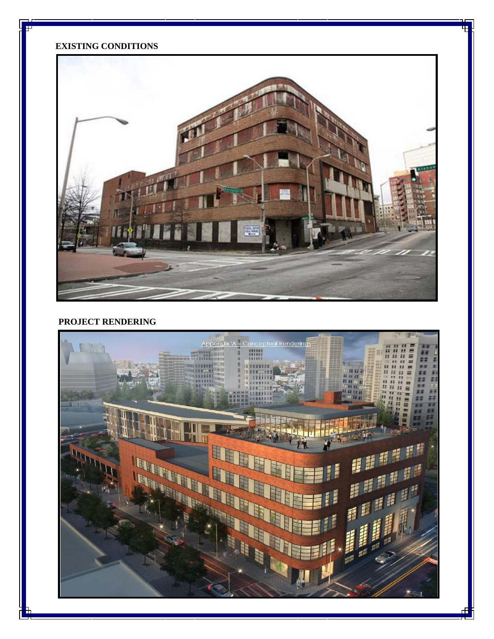## **EXISTING CONDITIONS**

Ŧ



## **PROJECT RENDERING**